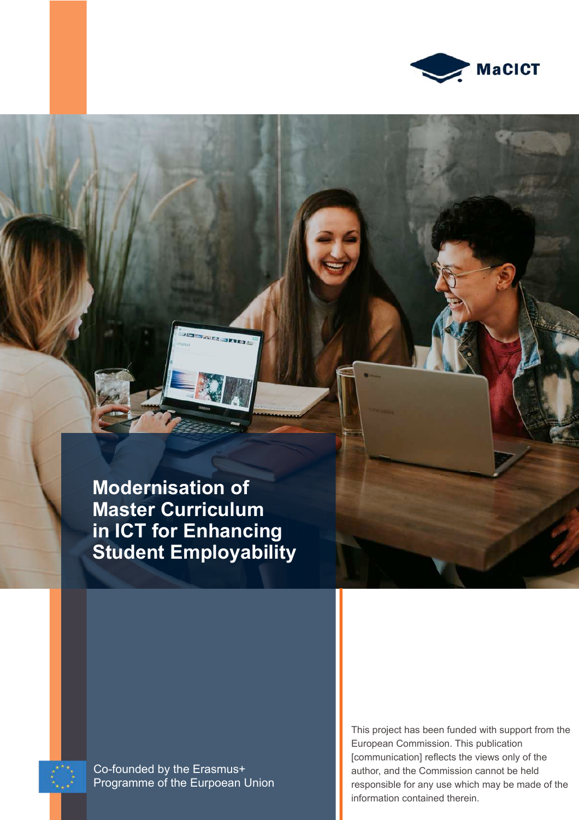

**Modernisation of Master Curriculum in ICT for Enhancing Student Employability** 



Co-founded by the Erasmus+ Programme of the Eurpoean Union This project has been funded with support from the European Commission. This publication [communication] reflects the views only of the author, and the Commission сannot be held responsible for any use which may be made of the information contained therein.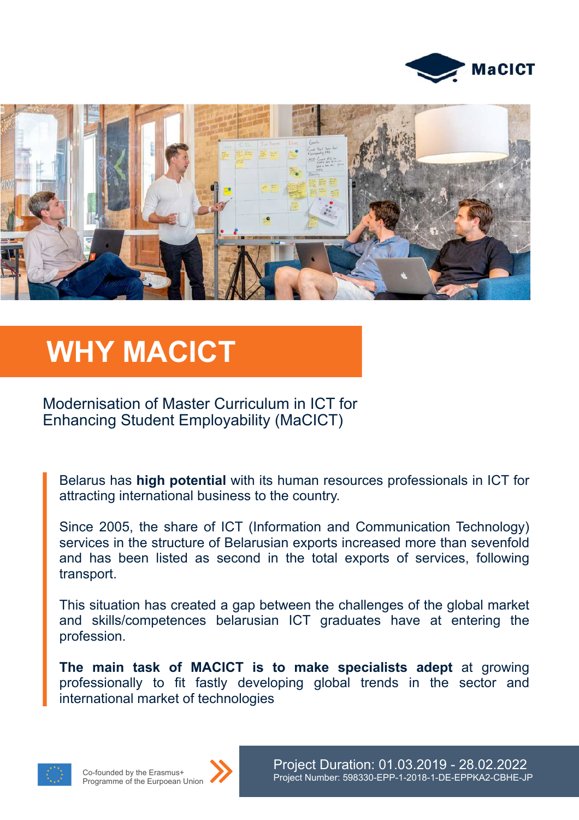



#### **WHY MACICT**

Modernisation of Master Curriculum in ICT for Enhancing Student Employability (MaCICT)

Belarus has **high potential** with its human resources professionals in ICT for attracting international business to the country.

Since 2005, the share of ICT (Information and Communication Technology) services in the structure of Belarusian exports increased more than sevenfold and has been listed as second in the total exports of services, following transport.

This situation has created a gap between the challenges of the global market and skills/competences belarusian ICT graduates have at entering the profession.

**The main task of MACICT is to make specialists adept** at growing professionally to fit fastly developing global trends in the sector and international market of technologies



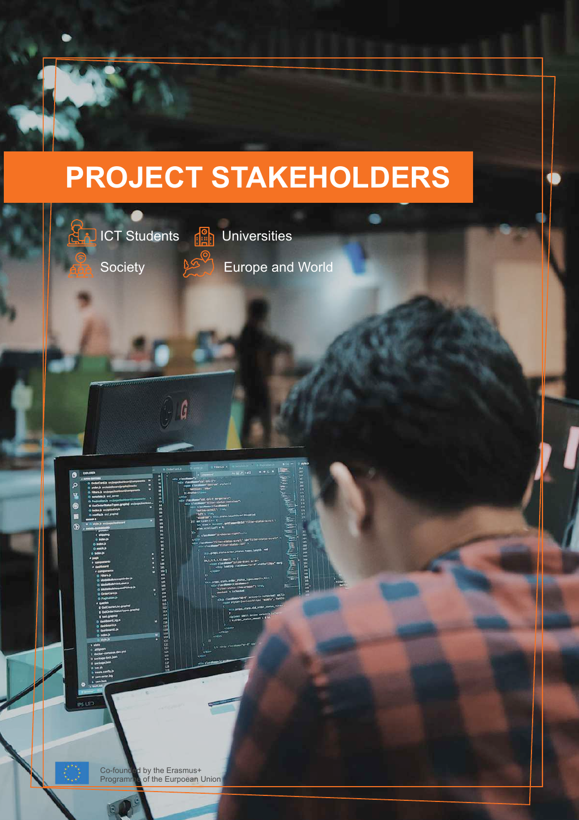### **PROJECT STAKEHOLDERS**



Co-founded by the Erasmus+ Programme of the Eurpoean Union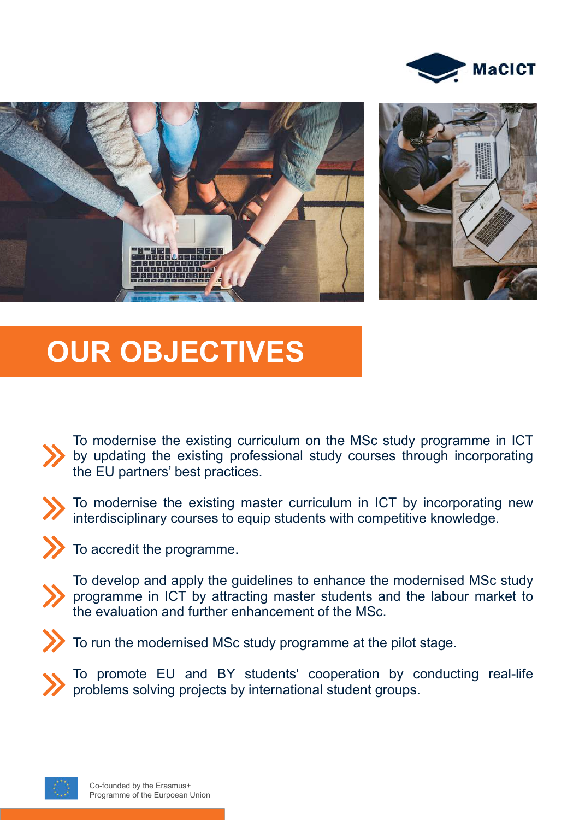





#### **OUR OBJECTIVES**

- To modernise the existing curriculum on the MSc study programme in ICT by updating the existing professional study courses through incorporating the EU partners' best practices.
- To modernise the existing master curriculum in ICT by incorporating new interdisciplinary courses to equip students with competitive knowledge.
- - To accredit the programme.
		- To develop and apply the guidelines to enhance the modernised MSc study programme in ICT by attracting master students and the labour market to the evaluation and further enhancement of the MSc.
		- To run the modernised MSc study programme at the pilot stage.
		- To promote EU and BY students' cooperation by conducting real-life problems solving projects by international student groups.

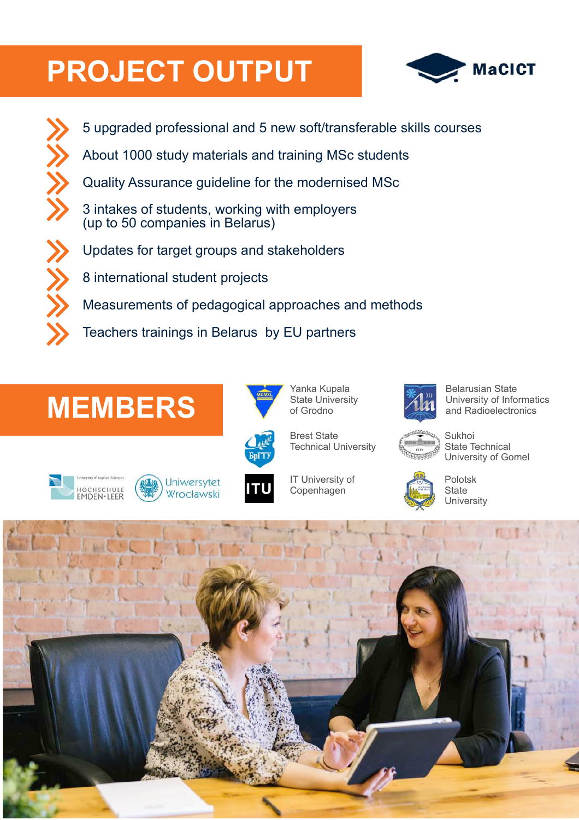## **PROJECT OUTPUT**





## **MEMBERS**





Brest State



Belarusian State University of Informatics and Radioelectronics







IT University of Copenhagen

Technical University



Polotsk **University** 

**Sukhoi** 









State Technical